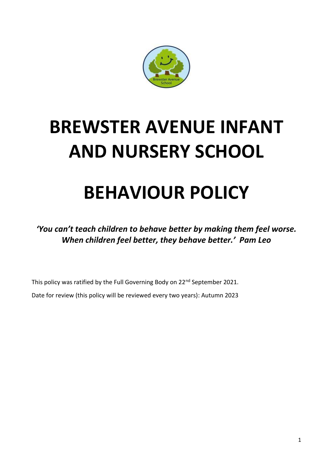

# **BREWSTER AVENUE INFANT AND NURSERY SCHOOL**

# **BEHAVIOUR POLICY**

*'You can't teach children to behave better by making them feel worse. When children feel better, they behave better.' Pam Leo*

This policy was ratified by the Full Governing Body on 22<sup>nd</sup> September 2021.

Date for review (this policy will be reviewed every two years): Autumn 2023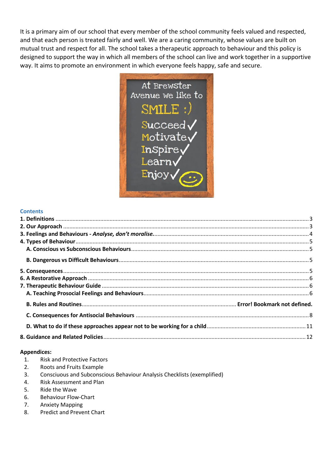It is a primary aim of our school that every member of the school community feels valued and respected, and that each person is treated fairly and well. We are a caring community, whose values are built on mutual trust and respect for all. The school takes a therapeutic approach to behaviour and this policy is designed to support the way in which all members of the school can live and work together in a supportive way. It aims to promote an environment in which everyone feels happy, safe and secure.



#### **Contents**

#### **Appendices:**

- 1. Risk and Protective Factors
- 2. Roots and Fruits Example
- 3. Consciuous and Subconscious Behaviour Analysis Checklists (exemplified)
- 4. Risk Assessment and Plan
- 5. Ride the Wave
- 6. Behaviour Flow-Chart
- 7. Anxiety Mapping
- 8. Predict and Prevent Chart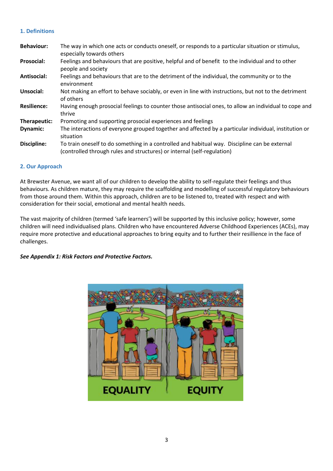# <span id="page-2-0"></span>**1. Definitions**

| <b>Behaviour:</b>  | The way in which one acts or conducts oneself, or responds to a particular situation or stimulus,<br>especially towards others                                           |
|--------------------|--------------------------------------------------------------------------------------------------------------------------------------------------------------------------|
| <b>Prosocial:</b>  | Feelings and behaviours that are positive, helpful and of benefit to the individual and to other<br>people and society                                                   |
| Antisocial:        | Feelings and behaviours that are to the detriment of the individual, the community or to the<br>environment                                                              |
| Unsocial:          | Not making an effort to behave sociably, or even in line with instructions, but not to the detriment<br>of others                                                        |
| <b>Resilience:</b> | Having enough prosocial feelings to counter those antisocial ones, to allow an individual to cope and<br>thrive                                                          |
| Therapeutic:       | Promoting and supporting prosocial experiences and feelings                                                                                                              |
| Dynamic:           | The interactions of everyone grouped together and affected by a particular individual, institution or<br>situation                                                       |
| Discipline:        | To train oneself to do something in a controlled and habitual way. Discipline can be external<br>(controlled through rules and structures) or internal (self-regulation) |

# <span id="page-2-1"></span>**2. Our Approach**

At Brewster Avenue, we want all of our children to develop the ability to self-regulate their feelings and thus behaviours. As children mature, they may require the scaffolding and modelling of successful regulatory behaviours from those around them. Within this approach, children are to be listened to, treated with respect and with consideration for their social, emotional and mental health needs.

The vast majority of children (termed 'safe learners') will be supported by this inclusive policy; however, some children will need individualised plans. Children who have encountered Adverse Childhood Experiences (ACEs), may require more protective and educational approaches to bring equity and to further their resillience in the face of challenges.

*See Appendix 1: Risk Factors and Protective Factors.*

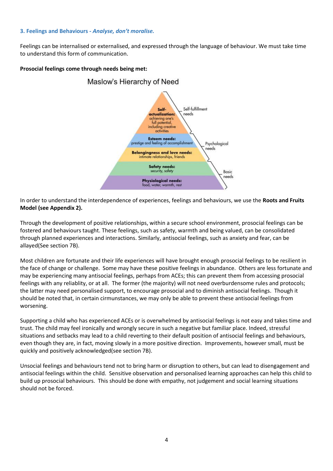# <span id="page-3-0"></span>**3. Feelings and Behaviours -** *Analyse, don't moralise.*

Feelings can be internalised or externalised, and expressed through the language of behaviour. We must take time to understand this form of communication.

# **Prosocial feelings come through needs being met:**



In order to understand the interdependence of experiences, feelings and behaviours, we use the **Roots and Fruits Model (see Appendix 2).**

Through the development of positive relationships, within a secure school environment, prosocial feelings can be fostered and behaviours taught. These feelings, such as safety, warmth and being valued, can be consolidated through planned experiences and interactions. Similarly, antisocial feelings, such as anxiety and fear, can be allayed(See section 7B).

Most children are fortunate and their life experiences will have brought enough prosocial feelings to be resilient in the face of change or challenge. Some may have these positive feelings in abundance. Others are less fortunate and may be experiencing many antisocial feelings, perhaps from ACEs; this can prevent them from accessing prosocial feelings with any reliablity, or at all. The former (the majority) will not need overburdensome rules and protocols; the latter may need personalised support, to encourage prosocial and to diminish antisocial feelings. Though it should be noted that, in certain cirmunstances, we may only be able to prevent these antisocial feelings from worsening.

Supporting a child who has experienced ACEs or is overwhelmed by antisocial feelings is not easy and takes time and trust. The child may feel ironically and wrongly secure in such a negative but familiar place. Indeed, stressful situations and setbacks may lead to a child reverting to their default position of antisocial feelings and behaviours, even though they are, in fact, moving slowly in a more positive direction. Improvements, however small, must be quickly and positively acknowledged(see section 7B).

Unsocial feelings and behaviours tend not to bring harm or disruption to others, but can lead to disengagement and antisocial feelings within the child. Sensitive observation and personalised learning approaches can help this child to build up prosocial behaviours. This should be done with empathy, not judgement and social learning situations should not be forced.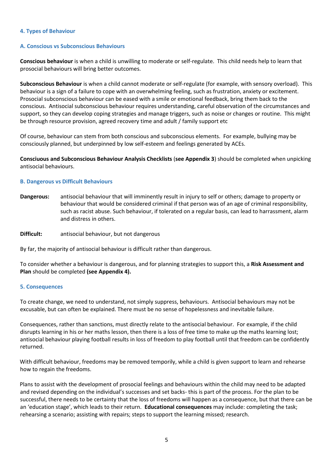### <span id="page-4-0"></span>**4. Types of Behaviour**

#### <span id="page-4-1"></span>**A. Conscious vs Subconscious Behaviours**

**Conscious behaviour** is when a child is unwilling to moderate or self-regulate. This child needs help to learn that prosocial behaviours will bring better outcomes.

**Subconscious Behaviour** is when a child cannot moderate or self-regulate (for example, with sensory overload). This behaviour is a sign of a failure to cope with an overwhelming feeling, such as frustration, anxiety or excitement. Prosocial subconscious behaviour can be eased with a smile or emotional feedback, bring them back to the conscious. Antisocial subconscious behaviour requires understanding, careful observation of the circumstances and support, so they can develop coping strategies and manage triggers, such as noise or changes or routine. This might be through resource provision, agreed recovery time and adult / family support etc

Of course, behaviour can stem from both conscious and subconscious elements. For example, bullying may be consciously planned, but underpinned by low self-esteem and feelings generated by ACEs.

**Consciuous and Subconscious Behaviour Analysis Checklists** (**see Appendix 3**) should be completed when unpicking antisocial behaviours.

#### <span id="page-4-2"></span>**B. Dangerous vs Difficult Behaviours**

**Dangerous:** antisocial behaviour that will imminently result in injury to self or others; damage to property or behaviour that would be considered criminal if that person was of an age of criminal responsibility, such as racist abuse. Such behaviour, if tolerated on a regular basis, can lead to harrassment, alarm and distress in others.

**Difficult:** antisocial behaviour, but not dangerous

By far, the majority of antisocial behaviour is difficult rather than dangerous.

To consider whether a behaviour is dangerous, and for planning strategies to support this, a **Risk Assessment and Plan** should be completed **(see Appendix 4).**

#### <span id="page-4-3"></span>**5. Consequences**

To create change, we need to understand, not simply suppress, behaviours. Antisocial behaviours may not be excusable, but can often be explained. There must be no sense of hopelessness and inevitable failure.

Consequences, rather than sanctions, must directly relate to the antisocial behaviour. For example, if the child disrupts learning in his or her maths lesson, then there is a loss of free time to make up the maths learning lost; antisocial behaviour playing football results in loss of freedom to play football until that freedom can be confidently returned.

With difficult behaviour, freedoms may be removed temporily, while a child is given support to learn and rehearse how to regain the freedoms.

Plans to assist with the development of prosocial feelings and behaviours within the child may need to be adapted and revised depending on the individual's successes and set backs- this is part of the process. For the plan to be successful, there needs to be certainty that the loss of freedoms will happen as a consequence, but that there can be an 'education stage', which leads to their return. **Educational consequences** may include: completing the task; rehearsing a scenario; assisting with repairs; steps to support the learning missed; research.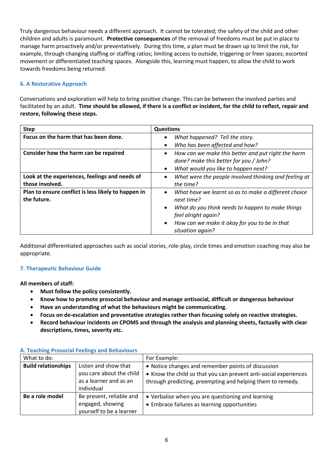Truly dangerous behaviour needs a different approach. It cannot be tolerated; the safety of the child and other children and adults is paramount. **Protective consequences** of the removal of freedoms must be put in place to manage harm proactively and/or preventatively. During this time, a plan must be drawn up to limit the risk, for example, through changing staffing or staffing ratios; limiting access to outside, triggering or freer spaces; escorted movement or differentiated teaching spaces. Alongside this, learning must happen, to allow the child to work towards freedoms being returned.

# <span id="page-5-0"></span>**6. A Restorative Approach**

Conversations and exploration will help to bring positive change. This can be between the involved parties and facilitated by an adult. **Time should be allowed, if there is a conflict or incident, for the child to reflect, repair and restore, following these steps.**

| <b>Step</b>                                         | <b>Questions</b>                                                  |
|-----------------------------------------------------|-------------------------------------------------------------------|
| Focus on the harm that has been done.               | What happened? Tell the story.<br>$\bullet$                       |
|                                                     | Who has been affected and how?<br>$\bullet$                       |
| Consider how the harm can be repaired               | How can we make this better and put right the harm<br>$\bullet$   |
|                                                     | done? make this better for you / John?                            |
|                                                     | What would you like to happen next?<br>$\bullet$                  |
| Look at the experiences, feelings and needs of      | What were the people involved thinking and feeling at<br>٠        |
| those involved.                                     | the time?                                                         |
| Plan to ensure conflict is less likely to happen in | What have we learnt so as to make a different choice<br>$\bullet$ |
| the future.                                         | next time?                                                        |
|                                                     | What do you think needs to happen to make things<br>$\bullet$     |
|                                                     | feel alright again?                                               |
|                                                     | How can we make it okay for you to be in that                     |
|                                                     | situation again?                                                  |

Additional differentiated approaches such as social stories, role-play, circle times and emotion coaching may also be appropriate.

# <span id="page-5-1"></span>**7. Therapeutic Behaviour Guide**

**All members of staff:**

- **Must follow the policy consistently.**
- **Know how to promote prosocial behaviour and manage antisocial, difficult or dangerous behaviour**
- **Have an understanding of what the behaviours might be communicating.**
- **Focus on de-escalation and preventative strategies rather than focusing solely on reactive strategies.**
- **Record behaviour incidents on CPOMS and through the analysis and planning sheets, factually with clear descriptions, times, severity etc.**

| What to do:                |                                                                                          | For Example:                                                                                                                                                                         |
|----------------------------|------------------------------------------------------------------------------------------|--------------------------------------------------------------------------------------------------------------------------------------------------------------------------------------|
| <b>Build relationships</b> | Listen and show that<br>you care about the child<br>as a learner and as an<br>individual | • Notice changes and remember points of discussion<br>• Know the child so that you can prevent anti-social experiences<br>through predicting, preempting and helping them to remedy. |
| Be a role model            | Be present, reliable and<br>engaged, showing<br>yourself to be a learner                 | • Verbalise when you are questioning and learning<br>• Embrace failures as learning opportunities                                                                                    |

### <span id="page-5-2"></span>**A. Teaching Prosocial Feelings and Behaviours**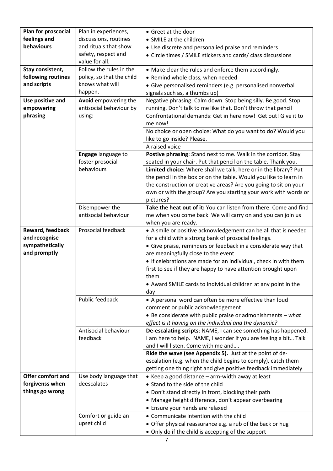| feelings and<br>discussions, routines<br>• SMILE at the children<br>behaviours<br>and rituals that show<br>• Use discrete and personalied praise and reminders<br>safety, respect and<br>• Circle times / SMILE stickers and cards/ class discussions<br>value for all.<br>Stay consistent,<br>Follow the rules in the<br>• Make clear the rules and enforce them accordingly.<br>following routines<br>policy, so that the child<br>• Remind whole class, when needed<br>and scripts<br>knows what will<br>· Give personalised reminders (e.g. personalised nonverbal<br>happen.<br>signals such as, a thumbs up)<br>Negative phrasing: Calm down. Stop being silly. Be good. Stop<br>Avoid empowering the<br>Use positive and<br>empowering<br>antisocial behaviour by<br>running. Don't talk to me like that. Don't throw that pencil<br>phrasing<br>Confrontational demands: Get in here now! Get out! Give it to<br>using:<br>me now!<br>No choice or open choice: What do you want to do? Would you<br>like to go inside? Please.<br>A raised voice<br>Engage language to<br>Postive phrasing: Stand next to me. Walk in the corridor. Stay<br>foster prosocial<br>seated in your chair. Put that pencil on the table. Thank you.<br>behaviours<br>Limited choice: Where shall we talk, here or in the library? Put<br>the pencil in the box or on the table. Would you like to learn in<br>the construction or creative areas? Are you going to sit on your<br>own or with the group? Are you starting your work with words or<br>pictures?<br>Take the heat out of it: You can listen from there. Come and find<br>Disempower the<br>antisocial behaviour<br>me when you come back. We will carry on and you can join us<br>when you are ready.<br>Prosocial feedback<br>Reward, feedback<br>• A smile or positive acknowledgement can be all that is needed<br>and recognise<br>for a child with a strong bank of prosocial feelings.<br>sympathetically<br>• Give praise, reminders or feedback in a considerate way that<br>and promptly<br>are meaningfully close to the event<br>• If celebrations are made for an individual, check in with them<br>first to see if they are happy to have attention brought upon<br>them<br>• Award SMILE cards to individual children at any point in the<br>day<br>Public feedback<br>• A personal word can often be more effective than loud<br>comment or public acknowledgement<br>$\bullet$ Be considerate with public praise or admonishments - what<br>effect is it having on the individual and the dynamic?<br>Antisocial behaviour<br>De-escalating scripts: NAME, I can see something has happened.<br>feedback<br>I am here to help. NAME, I wonder if you are feeling a bit Talk<br>and I will listen. Come with me and<br>Ride the wave (see Appendix 5). Just at the point of de-<br>escalation (e.g. when the child begins to comply), catch them<br>getting one thing right and give positive feedback immediately<br><b>Offer comfort and</b><br>Use body language that<br>• Keep a good distance - arm-width away at least<br>forgivenss when<br>deescalates<br>• Stand to the side of the child<br>things go wrong<br>• Don't stand directly in front, blocking their path<br>• Manage height difference, don't appear overbearing | Plan for proscocial | Plan in experiences, | • Greet at the door             |
|--------------------------------------------------------------------------------------------------------------------------------------------------------------------------------------------------------------------------------------------------------------------------------------------------------------------------------------------------------------------------------------------------------------------------------------------------------------------------------------------------------------------------------------------------------------------------------------------------------------------------------------------------------------------------------------------------------------------------------------------------------------------------------------------------------------------------------------------------------------------------------------------------------------------------------------------------------------------------------------------------------------------------------------------------------------------------------------------------------------------------------------------------------------------------------------------------------------------------------------------------------------------------------------------------------------------------------------------------------------------------------------------------------------------------------------------------------------------------------------------------------------------------------------------------------------------------------------------------------------------------------------------------------------------------------------------------------------------------------------------------------------------------------------------------------------------------------------------------------------------------------------------------------------------------------------------------------------------------------------------------------------------------------------------------------------------------------------------------------------------------------------------------------------------------------------------------------------------------------------------------------------------------------------------------------------------------------------------------------------------------------------------------------------------------------------------------------------------------------------------------------------------------------------------------------------------------------------------------------------------------------------------------------------------------------------------------------------------------------------------------------------------------------------------------------------------------------------------------------------------------------------------------------------------------------------------------------------------------------------------------------------------------------------------------------------------------------------------------------------------------------------------------------------------------------------------------------------------------------------------------------------------------------------------------------|---------------------|----------------------|---------------------------------|
|                                                                                                                                                                                                                                                                                                                                                                                                                                                                                                                                                                                                                                                                                                                                                                                                                                                                                                                                                                                                                                                                                                                                                                                                                                                                                                                                                                                                                                                                                                                                                                                                                                                                                                                                                                                                                                                                                                                                                                                                                                                                                                                                                                                                                                                                                                                                                                                                                                                                                                                                                                                                                                                                                                                                                                                                                                                                                                                                                                                                                                                                                                                                                                                                                                                                                                        |                     |                      |                                 |
|                                                                                                                                                                                                                                                                                                                                                                                                                                                                                                                                                                                                                                                                                                                                                                                                                                                                                                                                                                                                                                                                                                                                                                                                                                                                                                                                                                                                                                                                                                                                                                                                                                                                                                                                                                                                                                                                                                                                                                                                                                                                                                                                                                                                                                                                                                                                                                                                                                                                                                                                                                                                                                                                                                                                                                                                                                                                                                                                                                                                                                                                                                                                                                                                                                                                                                        |                     |                      |                                 |
|                                                                                                                                                                                                                                                                                                                                                                                                                                                                                                                                                                                                                                                                                                                                                                                                                                                                                                                                                                                                                                                                                                                                                                                                                                                                                                                                                                                                                                                                                                                                                                                                                                                                                                                                                                                                                                                                                                                                                                                                                                                                                                                                                                                                                                                                                                                                                                                                                                                                                                                                                                                                                                                                                                                                                                                                                                                                                                                                                                                                                                                                                                                                                                                                                                                                                                        |                     |                      |                                 |
|                                                                                                                                                                                                                                                                                                                                                                                                                                                                                                                                                                                                                                                                                                                                                                                                                                                                                                                                                                                                                                                                                                                                                                                                                                                                                                                                                                                                                                                                                                                                                                                                                                                                                                                                                                                                                                                                                                                                                                                                                                                                                                                                                                                                                                                                                                                                                                                                                                                                                                                                                                                                                                                                                                                                                                                                                                                                                                                                                                                                                                                                                                                                                                                                                                                                                                        |                     |                      |                                 |
|                                                                                                                                                                                                                                                                                                                                                                                                                                                                                                                                                                                                                                                                                                                                                                                                                                                                                                                                                                                                                                                                                                                                                                                                                                                                                                                                                                                                                                                                                                                                                                                                                                                                                                                                                                                                                                                                                                                                                                                                                                                                                                                                                                                                                                                                                                                                                                                                                                                                                                                                                                                                                                                                                                                                                                                                                                                                                                                                                                                                                                                                                                                                                                                                                                                                                                        |                     |                      |                                 |
|                                                                                                                                                                                                                                                                                                                                                                                                                                                                                                                                                                                                                                                                                                                                                                                                                                                                                                                                                                                                                                                                                                                                                                                                                                                                                                                                                                                                                                                                                                                                                                                                                                                                                                                                                                                                                                                                                                                                                                                                                                                                                                                                                                                                                                                                                                                                                                                                                                                                                                                                                                                                                                                                                                                                                                                                                                                                                                                                                                                                                                                                                                                                                                                                                                                                                                        |                     |                      |                                 |
|                                                                                                                                                                                                                                                                                                                                                                                                                                                                                                                                                                                                                                                                                                                                                                                                                                                                                                                                                                                                                                                                                                                                                                                                                                                                                                                                                                                                                                                                                                                                                                                                                                                                                                                                                                                                                                                                                                                                                                                                                                                                                                                                                                                                                                                                                                                                                                                                                                                                                                                                                                                                                                                                                                                                                                                                                                                                                                                                                                                                                                                                                                                                                                                                                                                                                                        |                     |                      |                                 |
|                                                                                                                                                                                                                                                                                                                                                                                                                                                                                                                                                                                                                                                                                                                                                                                                                                                                                                                                                                                                                                                                                                                                                                                                                                                                                                                                                                                                                                                                                                                                                                                                                                                                                                                                                                                                                                                                                                                                                                                                                                                                                                                                                                                                                                                                                                                                                                                                                                                                                                                                                                                                                                                                                                                                                                                                                                                                                                                                                                                                                                                                                                                                                                                                                                                                                                        |                     |                      |                                 |
|                                                                                                                                                                                                                                                                                                                                                                                                                                                                                                                                                                                                                                                                                                                                                                                                                                                                                                                                                                                                                                                                                                                                                                                                                                                                                                                                                                                                                                                                                                                                                                                                                                                                                                                                                                                                                                                                                                                                                                                                                                                                                                                                                                                                                                                                                                                                                                                                                                                                                                                                                                                                                                                                                                                                                                                                                                                                                                                                                                                                                                                                                                                                                                                                                                                                                                        |                     |                      |                                 |
|                                                                                                                                                                                                                                                                                                                                                                                                                                                                                                                                                                                                                                                                                                                                                                                                                                                                                                                                                                                                                                                                                                                                                                                                                                                                                                                                                                                                                                                                                                                                                                                                                                                                                                                                                                                                                                                                                                                                                                                                                                                                                                                                                                                                                                                                                                                                                                                                                                                                                                                                                                                                                                                                                                                                                                                                                                                                                                                                                                                                                                                                                                                                                                                                                                                                                                        |                     |                      |                                 |
|                                                                                                                                                                                                                                                                                                                                                                                                                                                                                                                                                                                                                                                                                                                                                                                                                                                                                                                                                                                                                                                                                                                                                                                                                                                                                                                                                                                                                                                                                                                                                                                                                                                                                                                                                                                                                                                                                                                                                                                                                                                                                                                                                                                                                                                                                                                                                                                                                                                                                                                                                                                                                                                                                                                                                                                                                                                                                                                                                                                                                                                                                                                                                                                                                                                                                                        |                     |                      |                                 |
|                                                                                                                                                                                                                                                                                                                                                                                                                                                                                                                                                                                                                                                                                                                                                                                                                                                                                                                                                                                                                                                                                                                                                                                                                                                                                                                                                                                                                                                                                                                                                                                                                                                                                                                                                                                                                                                                                                                                                                                                                                                                                                                                                                                                                                                                                                                                                                                                                                                                                                                                                                                                                                                                                                                                                                                                                                                                                                                                                                                                                                                                                                                                                                                                                                                                                                        |                     |                      |                                 |
|                                                                                                                                                                                                                                                                                                                                                                                                                                                                                                                                                                                                                                                                                                                                                                                                                                                                                                                                                                                                                                                                                                                                                                                                                                                                                                                                                                                                                                                                                                                                                                                                                                                                                                                                                                                                                                                                                                                                                                                                                                                                                                                                                                                                                                                                                                                                                                                                                                                                                                                                                                                                                                                                                                                                                                                                                                                                                                                                                                                                                                                                                                                                                                                                                                                                                                        |                     |                      |                                 |
|                                                                                                                                                                                                                                                                                                                                                                                                                                                                                                                                                                                                                                                                                                                                                                                                                                                                                                                                                                                                                                                                                                                                                                                                                                                                                                                                                                                                                                                                                                                                                                                                                                                                                                                                                                                                                                                                                                                                                                                                                                                                                                                                                                                                                                                                                                                                                                                                                                                                                                                                                                                                                                                                                                                                                                                                                                                                                                                                                                                                                                                                                                                                                                                                                                                                                                        |                     |                      |                                 |
|                                                                                                                                                                                                                                                                                                                                                                                                                                                                                                                                                                                                                                                                                                                                                                                                                                                                                                                                                                                                                                                                                                                                                                                                                                                                                                                                                                                                                                                                                                                                                                                                                                                                                                                                                                                                                                                                                                                                                                                                                                                                                                                                                                                                                                                                                                                                                                                                                                                                                                                                                                                                                                                                                                                                                                                                                                                                                                                                                                                                                                                                                                                                                                                                                                                                                                        |                     |                      |                                 |
|                                                                                                                                                                                                                                                                                                                                                                                                                                                                                                                                                                                                                                                                                                                                                                                                                                                                                                                                                                                                                                                                                                                                                                                                                                                                                                                                                                                                                                                                                                                                                                                                                                                                                                                                                                                                                                                                                                                                                                                                                                                                                                                                                                                                                                                                                                                                                                                                                                                                                                                                                                                                                                                                                                                                                                                                                                                                                                                                                                                                                                                                                                                                                                                                                                                                                                        |                     |                      |                                 |
|                                                                                                                                                                                                                                                                                                                                                                                                                                                                                                                                                                                                                                                                                                                                                                                                                                                                                                                                                                                                                                                                                                                                                                                                                                                                                                                                                                                                                                                                                                                                                                                                                                                                                                                                                                                                                                                                                                                                                                                                                                                                                                                                                                                                                                                                                                                                                                                                                                                                                                                                                                                                                                                                                                                                                                                                                                                                                                                                                                                                                                                                                                                                                                                                                                                                                                        |                     |                      |                                 |
|                                                                                                                                                                                                                                                                                                                                                                                                                                                                                                                                                                                                                                                                                                                                                                                                                                                                                                                                                                                                                                                                                                                                                                                                                                                                                                                                                                                                                                                                                                                                                                                                                                                                                                                                                                                                                                                                                                                                                                                                                                                                                                                                                                                                                                                                                                                                                                                                                                                                                                                                                                                                                                                                                                                                                                                                                                                                                                                                                                                                                                                                                                                                                                                                                                                                                                        |                     |                      |                                 |
|                                                                                                                                                                                                                                                                                                                                                                                                                                                                                                                                                                                                                                                                                                                                                                                                                                                                                                                                                                                                                                                                                                                                                                                                                                                                                                                                                                                                                                                                                                                                                                                                                                                                                                                                                                                                                                                                                                                                                                                                                                                                                                                                                                                                                                                                                                                                                                                                                                                                                                                                                                                                                                                                                                                                                                                                                                                                                                                                                                                                                                                                                                                                                                                                                                                                                                        |                     |                      |                                 |
|                                                                                                                                                                                                                                                                                                                                                                                                                                                                                                                                                                                                                                                                                                                                                                                                                                                                                                                                                                                                                                                                                                                                                                                                                                                                                                                                                                                                                                                                                                                                                                                                                                                                                                                                                                                                                                                                                                                                                                                                                                                                                                                                                                                                                                                                                                                                                                                                                                                                                                                                                                                                                                                                                                                                                                                                                                                                                                                                                                                                                                                                                                                                                                                                                                                                                                        |                     |                      |                                 |
|                                                                                                                                                                                                                                                                                                                                                                                                                                                                                                                                                                                                                                                                                                                                                                                                                                                                                                                                                                                                                                                                                                                                                                                                                                                                                                                                                                                                                                                                                                                                                                                                                                                                                                                                                                                                                                                                                                                                                                                                                                                                                                                                                                                                                                                                                                                                                                                                                                                                                                                                                                                                                                                                                                                                                                                                                                                                                                                                                                                                                                                                                                                                                                                                                                                                                                        |                     |                      |                                 |
|                                                                                                                                                                                                                                                                                                                                                                                                                                                                                                                                                                                                                                                                                                                                                                                                                                                                                                                                                                                                                                                                                                                                                                                                                                                                                                                                                                                                                                                                                                                                                                                                                                                                                                                                                                                                                                                                                                                                                                                                                                                                                                                                                                                                                                                                                                                                                                                                                                                                                                                                                                                                                                                                                                                                                                                                                                                                                                                                                                                                                                                                                                                                                                                                                                                                                                        |                     |                      |                                 |
|                                                                                                                                                                                                                                                                                                                                                                                                                                                                                                                                                                                                                                                                                                                                                                                                                                                                                                                                                                                                                                                                                                                                                                                                                                                                                                                                                                                                                                                                                                                                                                                                                                                                                                                                                                                                                                                                                                                                                                                                                                                                                                                                                                                                                                                                                                                                                                                                                                                                                                                                                                                                                                                                                                                                                                                                                                                                                                                                                                                                                                                                                                                                                                                                                                                                                                        |                     |                      |                                 |
|                                                                                                                                                                                                                                                                                                                                                                                                                                                                                                                                                                                                                                                                                                                                                                                                                                                                                                                                                                                                                                                                                                                                                                                                                                                                                                                                                                                                                                                                                                                                                                                                                                                                                                                                                                                                                                                                                                                                                                                                                                                                                                                                                                                                                                                                                                                                                                                                                                                                                                                                                                                                                                                                                                                                                                                                                                                                                                                                                                                                                                                                                                                                                                                                                                                                                                        |                     |                      |                                 |
|                                                                                                                                                                                                                                                                                                                                                                                                                                                                                                                                                                                                                                                                                                                                                                                                                                                                                                                                                                                                                                                                                                                                                                                                                                                                                                                                                                                                                                                                                                                                                                                                                                                                                                                                                                                                                                                                                                                                                                                                                                                                                                                                                                                                                                                                                                                                                                                                                                                                                                                                                                                                                                                                                                                                                                                                                                                                                                                                                                                                                                                                                                                                                                                                                                                                                                        |                     |                      |                                 |
|                                                                                                                                                                                                                                                                                                                                                                                                                                                                                                                                                                                                                                                                                                                                                                                                                                                                                                                                                                                                                                                                                                                                                                                                                                                                                                                                                                                                                                                                                                                                                                                                                                                                                                                                                                                                                                                                                                                                                                                                                                                                                                                                                                                                                                                                                                                                                                                                                                                                                                                                                                                                                                                                                                                                                                                                                                                                                                                                                                                                                                                                                                                                                                                                                                                                                                        |                     |                      |                                 |
|                                                                                                                                                                                                                                                                                                                                                                                                                                                                                                                                                                                                                                                                                                                                                                                                                                                                                                                                                                                                                                                                                                                                                                                                                                                                                                                                                                                                                                                                                                                                                                                                                                                                                                                                                                                                                                                                                                                                                                                                                                                                                                                                                                                                                                                                                                                                                                                                                                                                                                                                                                                                                                                                                                                                                                                                                                                                                                                                                                                                                                                                                                                                                                                                                                                                                                        |                     |                      |                                 |
|                                                                                                                                                                                                                                                                                                                                                                                                                                                                                                                                                                                                                                                                                                                                                                                                                                                                                                                                                                                                                                                                                                                                                                                                                                                                                                                                                                                                                                                                                                                                                                                                                                                                                                                                                                                                                                                                                                                                                                                                                                                                                                                                                                                                                                                                                                                                                                                                                                                                                                                                                                                                                                                                                                                                                                                                                                                                                                                                                                                                                                                                                                                                                                                                                                                                                                        |                     |                      |                                 |
|                                                                                                                                                                                                                                                                                                                                                                                                                                                                                                                                                                                                                                                                                                                                                                                                                                                                                                                                                                                                                                                                                                                                                                                                                                                                                                                                                                                                                                                                                                                                                                                                                                                                                                                                                                                                                                                                                                                                                                                                                                                                                                                                                                                                                                                                                                                                                                                                                                                                                                                                                                                                                                                                                                                                                                                                                                                                                                                                                                                                                                                                                                                                                                                                                                                                                                        |                     |                      |                                 |
|                                                                                                                                                                                                                                                                                                                                                                                                                                                                                                                                                                                                                                                                                                                                                                                                                                                                                                                                                                                                                                                                                                                                                                                                                                                                                                                                                                                                                                                                                                                                                                                                                                                                                                                                                                                                                                                                                                                                                                                                                                                                                                                                                                                                                                                                                                                                                                                                                                                                                                                                                                                                                                                                                                                                                                                                                                                                                                                                                                                                                                                                                                                                                                                                                                                                                                        |                     |                      |                                 |
|                                                                                                                                                                                                                                                                                                                                                                                                                                                                                                                                                                                                                                                                                                                                                                                                                                                                                                                                                                                                                                                                                                                                                                                                                                                                                                                                                                                                                                                                                                                                                                                                                                                                                                                                                                                                                                                                                                                                                                                                                                                                                                                                                                                                                                                                                                                                                                                                                                                                                                                                                                                                                                                                                                                                                                                                                                                                                                                                                                                                                                                                                                                                                                                                                                                                                                        |                     |                      |                                 |
|                                                                                                                                                                                                                                                                                                                                                                                                                                                                                                                                                                                                                                                                                                                                                                                                                                                                                                                                                                                                                                                                                                                                                                                                                                                                                                                                                                                                                                                                                                                                                                                                                                                                                                                                                                                                                                                                                                                                                                                                                                                                                                                                                                                                                                                                                                                                                                                                                                                                                                                                                                                                                                                                                                                                                                                                                                                                                                                                                                                                                                                                                                                                                                                                                                                                                                        |                     |                      |                                 |
|                                                                                                                                                                                                                                                                                                                                                                                                                                                                                                                                                                                                                                                                                                                                                                                                                                                                                                                                                                                                                                                                                                                                                                                                                                                                                                                                                                                                                                                                                                                                                                                                                                                                                                                                                                                                                                                                                                                                                                                                                                                                                                                                                                                                                                                                                                                                                                                                                                                                                                                                                                                                                                                                                                                                                                                                                                                                                                                                                                                                                                                                                                                                                                                                                                                                                                        |                     |                      |                                 |
|                                                                                                                                                                                                                                                                                                                                                                                                                                                                                                                                                                                                                                                                                                                                                                                                                                                                                                                                                                                                                                                                                                                                                                                                                                                                                                                                                                                                                                                                                                                                                                                                                                                                                                                                                                                                                                                                                                                                                                                                                                                                                                                                                                                                                                                                                                                                                                                                                                                                                                                                                                                                                                                                                                                                                                                                                                                                                                                                                                                                                                                                                                                                                                                                                                                                                                        |                     |                      |                                 |
|                                                                                                                                                                                                                                                                                                                                                                                                                                                                                                                                                                                                                                                                                                                                                                                                                                                                                                                                                                                                                                                                                                                                                                                                                                                                                                                                                                                                                                                                                                                                                                                                                                                                                                                                                                                                                                                                                                                                                                                                                                                                                                                                                                                                                                                                                                                                                                                                                                                                                                                                                                                                                                                                                                                                                                                                                                                                                                                                                                                                                                                                                                                                                                                                                                                                                                        |                     |                      |                                 |
|                                                                                                                                                                                                                                                                                                                                                                                                                                                                                                                                                                                                                                                                                                                                                                                                                                                                                                                                                                                                                                                                                                                                                                                                                                                                                                                                                                                                                                                                                                                                                                                                                                                                                                                                                                                                                                                                                                                                                                                                                                                                                                                                                                                                                                                                                                                                                                                                                                                                                                                                                                                                                                                                                                                                                                                                                                                                                                                                                                                                                                                                                                                                                                                                                                                                                                        |                     |                      |                                 |
|                                                                                                                                                                                                                                                                                                                                                                                                                                                                                                                                                                                                                                                                                                                                                                                                                                                                                                                                                                                                                                                                                                                                                                                                                                                                                                                                                                                                                                                                                                                                                                                                                                                                                                                                                                                                                                                                                                                                                                                                                                                                                                                                                                                                                                                                                                                                                                                                                                                                                                                                                                                                                                                                                                                                                                                                                                                                                                                                                                                                                                                                                                                                                                                                                                                                                                        |                     |                      |                                 |
|                                                                                                                                                                                                                                                                                                                                                                                                                                                                                                                                                                                                                                                                                                                                                                                                                                                                                                                                                                                                                                                                                                                                                                                                                                                                                                                                                                                                                                                                                                                                                                                                                                                                                                                                                                                                                                                                                                                                                                                                                                                                                                                                                                                                                                                                                                                                                                                                                                                                                                                                                                                                                                                                                                                                                                                                                                                                                                                                                                                                                                                                                                                                                                                                                                                                                                        |                     |                      |                                 |
|                                                                                                                                                                                                                                                                                                                                                                                                                                                                                                                                                                                                                                                                                                                                                                                                                                                                                                                                                                                                                                                                                                                                                                                                                                                                                                                                                                                                                                                                                                                                                                                                                                                                                                                                                                                                                                                                                                                                                                                                                                                                                                                                                                                                                                                                                                                                                                                                                                                                                                                                                                                                                                                                                                                                                                                                                                                                                                                                                                                                                                                                                                                                                                                                                                                                                                        |                     |                      |                                 |
|                                                                                                                                                                                                                                                                                                                                                                                                                                                                                                                                                                                                                                                                                                                                                                                                                                                                                                                                                                                                                                                                                                                                                                                                                                                                                                                                                                                                                                                                                                                                                                                                                                                                                                                                                                                                                                                                                                                                                                                                                                                                                                                                                                                                                                                                                                                                                                                                                                                                                                                                                                                                                                                                                                                                                                                                                                                                                                                                                                                                                                                                                                                                                                                                                                                                                                        |                     |                      |                                 |
|                                                                                                                                                                                                                                                                                                                                                                                                                                                                                                                                                                                                                                                                                                                                                                                                                                                                                                                                                                                                                                                                                                                                                                                                                                                                                                                                                                                                                                                                                                                                                                                                                                                                                                                                                                                                                                                                                                                                                                                                                                                                                                                                                                                                                                                                                                                                                                                                                                                                                                                                                                                                                                                                                                                                                                                                                                                                                                                                                                                                                                                                                                                                                                                                                                                                                                        |                     |                      |                                 |
|                                                                                                                                                                                                                                                                                                                                                                                                                                                                                                                                                                                                                                                                                                                                                                                                                                                                                                                                                                                                                                                                                                                                                                                                                                                                                                                                                                                                                                                                                                                                                                                                                                                                                                                                                                                                                                                                                                                                                                                                                                                                                                                                                                                                                                                                                                                                                                                                                                                                                                                                                                                                                                                                                                                                                                                                                                                                                                                                                                                                                                                                                                                                                                                                                                                                                                        |                     |                      |                                 |
|                                                                                                                                                                                                                                                                                                                                                                                                                                                                                                                                                                                                                                                                                                                                                                                                                                                                                                                                                                                                                                                                                                                                                                                                                                                                                                                                                                                                                                                                                                                                                                                                                                                                                                                                                                                                                                                                                                                                                                                                                                                                                                                                                                                                                                                                                                                                                                                                                                                                                                                                                                                                                                                                                                                                                                                                                                                                                                                                                                                                                                                                                                                                                                                                                                                                                                        |                     |                      |                                 |
|                                                                                                                                                                                                                                                                                                                                                                                                                                                                                                                                                                                                                                                                                                                                                                                                                                                                                                                                                                                                                                                                                                                                                                                                                                                                                                                                                                                                                                                                                                                                                                                                                                                                                                                                                                                                                                                                                                                                                                                                                                                                                                                                                                                                                                                                                                                                                                                                                                                                                                                                                                                                                                                                                                                                                                                                                                                                                                                                                                                                                                                                                                                                                                                                                                                                                                        |                     |                      |                                 |
|                                                                                                                                                                                                                                                                                                                                                                                                                                                                                                                                                                                                                                                                                                                                                                                                                                                                                                                                                                                                                                                                                                                                                                                                                                                                                                                                                                                                                                                                                                                                                                                                                                                                                                                                                                                                                                                                                                                                                                                                                                                                                                                                                                                                                                                                                                                                                                                                                                                                                                                                                                                                                                                                                                                                                                                                                                                                                                                                                                                                                                                                                                                                                                                                                                                                                                        |                     |                      |                                 |
|                                                                                                                                                                                                                                                                                                                                                                                                                                                                                                                                                                                                                                                                                                                                                                                                                                                                                                                                                                                                                                                                                                                                                                                                                                                                                                                                                                                                                                                                                                                                                                                                                                                                                                                                                                                                                                                                                                                                                                                                                                                                                                                                                                                                                                                                                                                                                                                                                                                                                                                                                                                                                                                                                                                                                                                                                                                                                                                                                                                                                                                                                                                                                                                                                                                                                                        |                     |                      |                                 |
|                                                                                                                                                                                                                                                                                                                                                                                                                                                                                                                                                                                                                                                                                                                                                                                                                                                                                                                                                                                                                                                                                                                                                                                                                                                                                                                                                                                                                                                                                                                                                                                                                                                                                                                                                                                                                                                                                                                                                                                                                                                                                                                                                                                                                                                                                                                                                                                                                                                                                                                                                                                                                                                                                                                                                                                                                                                                                                                                                                                                                                                                                                                                                                                                                                                                                                        |                     |                      |                                 |
|                                                                                                                                                                                                                                                                                                                                                                                                                                                                                                                                                                                                                                                                                                                                                                                                                                                                                                                                                                                                                                                                                                                                                                                                                                                                                                                                                                                                                                                                                                                                                                                                                                                                                                                                                                                                                                                                                                                                                                                                                                                                                                                                                                                                                                                                                                                                                                                                                                                                                                                                                                                                                                                                                                                                                                                                                                                                                                                                                                                                                                                                                                                                                                                                                                                                                                        |                     |                      |                                 |
|                                                                                                                                                                                                                                                                                                                                                                                                                                                                                                                                                                                                                                                                                                                                                                                                                                                                                                                                                                                                                                                                                                                                                                                                                                                                                                                                                                                                                                                                                                                                                                                                                                                                                                                                                                                                                                                                                                                                                                                                                                                                                                                                                                                                                                                                                                                                                                                                                                                                                                                                                                                                                                                                                                                                                                                                                                                                                                                                                                                                                                                                                                                                                                                                                                                                                                        |                     |                      | • Ensure your hands are relaxed |
| Comfort or guide an<br>• Communicate intention with the child                                                                                                                                                                                                                                                                                                                                                                                                                                                                                                                                                                                                                                                                                                                                                                                                                                                                                                                                                                                                                                                                                                                                                                                                                                                                                                                                                                                                                                                                                                                                                                                                                                                                                                                                                                                                                                                                                                                                                                                                                                                                                                                                                                                                                                                                                                                                                                                                                                                                                                                                                                                                                                                                                                                                                                                                                                                                                                                                                                                                                                                                                                                                                                                                                                          |                     |                      |                                 |
| upset child<br>• Offer physical reassurance e.g. a rub of the back or hug                                                                                                                                                                                                                                                                                                                                                                                                                                                                                                                                                                                                                                                                                                                                                                                                                                                                                                                                                                                                                                                                                                                                                                                                                                                                                                                                                                                                                                                                                                                                                                                                                                                                                                                                                                                                                                                                                                                                                                                                                                                                                                                                                                                                                                                                                                                                                                                                                                                                                                                                                                                                                                                                                                                                                                                                                                                                                                                                                                                                                                                                                                                                                                                                                              |                     |                      |                                 |
| • Only do if the child is accepting of the support                                                                                                                                                                                                                                                                                                                                                                                                                                                                                                                                                                                                                                                                                                                                                                                                                                                                                                                                                                                                                                                                                                                                                                                                                                                                                                                                                                                                                                                                                                                                                                                                                                                                                                                                                                                                                                                                                                                                                                                                                                                                                                                                                                                                                                                                                                                                                                                                                                                                                                                                                                                                                                                                                                                                                                                                                                                                                                                                                                                                                                                                                                                                                                                                                                                     |                     |                      |                                 |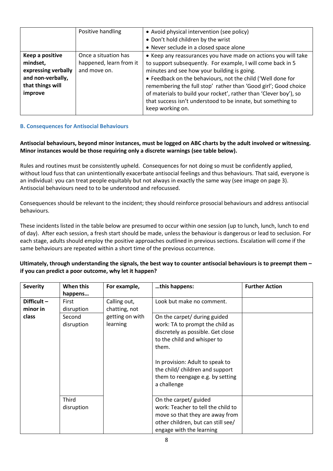|                     | Positive handling       | • Avoid physical intervention (see policy)                        |  |
|---------------------|-------------------------|-------------------------------------------------------------------|--|
|                     |                         | • Don't hold children by the wrist                                |  |
|                     |                         | • Never seclude in a closed space alone                           |  |
| Keep a positive     | Once a situation has    | • Keep any reassurances you have made on actions you will take    |  |
| mindset,            | happened, learn from it | to support subsequently. For example, I will come back in 5       |  |
| expressing verbally | and move on.            | minutes and see how your building is going.                       |  |
| and non-verbally,   |                         | • Feedback on the behaviours, not the child ('Well done for       |  |
| that things will    |                         | remembering the full stop' rather than 'Good girl'; Good choice   |  |
| improve             |                         | of materials to build your rocket', rather than 'Clever boy'), so |  |
|                     |                         | that success isn't understood to be innate, but something to      |  |
|                     |                         | keep working on.                                                  |  |
|                     |                         |                                                                   |  |

# <span id="page-7-0"></span>**B. Consequences for Antisocial Behaviours**

**Antisocial behaviours, beyond minor instances, must be logged on ABC charts by the adult involved or witnessing. Minor instances would be those requiring only a discrete warnings (see table below).**

Rules and routines must be consistently upheld. Consequences for not doing so must be confidently applied, without loud fuss that can unintentionally exacerbate antisocial feelings and thus behaviours. That said, everyone is an individual: you can treat people equitably but not always in exactly the same way (see image on page 3). Antisocial behaviours need to to be understood and refocussed.

Consequences should be relevant to the incident; they should reinforce prosocial behaviours and address antisocial behaviours.

These incidents listed in the table below are presumed to occur within one session (up to lunch, lunch, lunch to end of day). After each session, a fresh start should be made, unless the behaviour is dangerous or lead to seclusion. For each stage, adults should employ the positive approaches outlined in previous sections. Escalation will come if the same behaviours are repeated within a short time of the previous occurrence.

# **Ultimately, through understanding the signals, the best way to counter antisocial behaviours is to preempt them – if you can predict a poor outcome, why let it happen?**

| <b>Severity</b>           | When this<br>happens | For example,                  | this happens:                                                                                                                                                                                                                                                        | <b>Further Action</b> |
|---------------------------|----------------------|-------------------------------|----------------------------------------------------------------------------------------------------------------------------------------------------------------------------------------------------------------------------------------------------------------------|-----------------------|
| Difficult $-$<br>minor in | First<br>disruption  | Calling out,<br>chatting, not | Look but make no comment.                                                                                                                                                                                                                                            |                       |
| class                     | Second<br>disruption | getting on with<br>learning   | On the carpet/ during guided<br>work: TA to prompt the child as<br>discretely as possible. Get close<br>to the child and whisper to<br>them.<br>In provision: Adult to speak to<br>the child/children and support<br>them to reengage e.g. by setting<br>a challenge |                       |
|                           | Third<br>disruption  |                               | On the carpet/ guided<br>work: Teacher to tell the child to<br>move so that they are away from<br>other children, but can still see/<br>engage with the learning                                                                                                     |                       |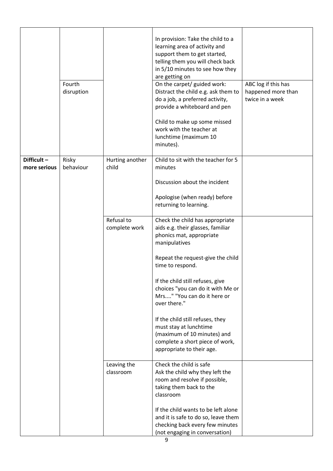|              | Fourth<br>disruption |                             | In provision: Take the child to a<br>learning area of activity and<br>support them to get started,<br>telling them you will check back<br>in 5/10 minutes to see how they<br>are getting on<br>On the carpet/ guided work:<br>Distract the child e.g. ask them to<br>do a job, a preferred activity,<br>provide a whiteboard and pen<br>Child to make up some missed<br>work with the teacher at<br>lunchtime (maximum 10<br>minutes). | ABC log if this has<br>happened more than<br>twice in a week |
|--------------|----------------------|-----------------------------|----------------------------------------------------------------------------------------------------------------------------------------------------------------------------------------------------------------------------------------------------------------------------------------------------------------------------------------------------------------------------------------------------------------------------------------|--------------------------------------------------------------|
| Difficult-   | Risky                | Hurting another             | Child to sit with the teacher for 5                                                                                                                                                                                                                                                                                                                                                                                                    |                                                              |
| more serious | behaviour            | child                       | minutes                                                                                                                                                                                                                                                                                                                                                                                                                                |                                                              |
|              |                      |                             | Discussion about the incident                                                                                                                                                                                                                                                                                                                                                                                                          |                                                              |
|              |                      |                             | Apologise (when ready) before<br>returning to learning.                                                                                                                                                                                                                                                                                                                                                                                |                                                              |
|              |                      | Refusal to<br>complete work | Check the child has appropriate<br>aids e.g. their glasses, familiar<br>phonics mat, appropriate<br>manipulatives                                                                                                                                                                                                                                                                                                                      |                                                              |
|              |                      |                             | Repeat the request-give the child<br>time to respond.                                                                                                                                                                                                                                                                                                                                                                                  |                                                              |
|              |                      |                             | If the child still refuses, give<br>choices "you can do it with Me or<br>Mrs" "You can do it here or<br>over there."                                                                                                                                                                                                                                                                                                                   |                                                              |
|              |                      |                             | If the child still refuses, they<br>must stay at lunchtime<br>(maximum of 10 minutes) and<br>complete a short piece of work,<br>appropriate to their age.                                                                                                                                                                                                                                                                              |                                                              |
|              |                      | Leaving the                 | Check the child is safe                                                                                                                                                                                                                                                                                                                                                                                                                |                                                              |
|              |                      | classroom                   | Ask the child why they left the<br>room and resolve if possible,<br>taking them back to the<br>classroom                                                                                                                                                                                                                                                                                                                               |                                                              |
|              |                      |                             | If the child wants to be left alone<br>and it is safe to do so, leave them<br>checking back every few minutes<br>(not engaging in conversation)                                                                                                                                                                                                                                                                                        |                                                              |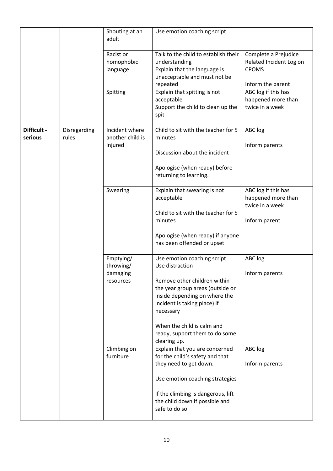|                        |                       | Shouting at an<br>adult                         | Use emotion coaching script                                                                                                                                                                                                                                                      |                                                                                      |
|------------------------|-----------------------|-------------------------------------------------|----------------------------------------------------------------------------------------------------------------------------------------------------------------------------------------------------------------------------------------------------------------------------------|--------------------------------------------------------------------------------------|
|                        |                       | Racist or<br>homophobic<br>language             | Talk to the child to establish their<br>understanding<br>Explain that the language is<br>unacceptable and must not be<br>repeated                                                                                                                                                | Complete a Prejudice<br>Related Incident Log on<br><b>CPOMS</b><br>Inform the parent |
|                        |                       | Spitting                                        | Explain that spitting is not<br>acceptable<br>Support the child to clean up the<br>spit                                                                                                                                                                                          | ABC log if this has<br>happened more than<br>twice in a week                         |
| Difficult -<br>serious | Disregarding<br>rules | Incident where<br>another child is<br>injured   | Child to sit with the teacher for 5<br>minutes<br>Discussion about the incident<br>Apologise (when ready) before<br>returning to learning.                                                                                                                                       | ABC log<br>Inform parents                                                            |
|                        |                       | Swearing                                        | Explain that swearing is not<br>acceptable<br>Child to sit with the teacher for 5<br>minutes<br>Apologise (when ready) if anyone<br>has been offended or upset                                                                                                                   | ABC log if this has<br>happened more than<br>twice in a week<br>Inform parent        |
|                        |                       | Emptying/<br>throwing/<br>damaging<br>resources | Use emotion coaching script<br>Use distraction<br>Remove other children within<br>the year group areas (outside or<br>inside depending on where the<br>incident is taking place) if<br>necessary<br>When the child is calm and<br>ready, support them to do some<br>clearing up. | ABC log<br>Inform parents                                                            |
|                        |                       | Climbing on<br>furniture                        | Explain that you are concerned<br>for the child's safety and that<br>they need to get down.<br>Use emotion coaching strategies<br>If the climbing is dangerous, lift<br>the child down if possible and<br>safe to do so                                                          | ABC log<br>Inform parents                                                            |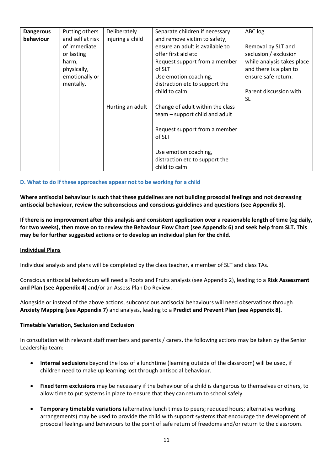| <b>Dangerous</b> | Putting others   | Deliberately     | Separate children if necessary   | ABC log                    |
|------------------|------------------|------------------|----------------------------------|----------------------------|
| behaviour        | and self at risk | injuring a child | and remove victim to safety,     |                            |
|                  | of immediate     |                  | ensure an adult is available to  | Removal by SLT and         |
|                  | or lasting       |                  | offer first aid etc              | seclusion / exclusion      |
|                  | harm,            |                  | Request support from a member    | while analysis takes place |
|                  | physically,      |                  | of SLT                           | and there is a plan to     |
|                  | emotionally or   |                  | Use emotion coaching,            | ensure safe return.        |
|                  | mentally.        |                  | distraction etc to support the   |                            |
|                  |                  |                  | child to calm                    | Parent discussion with     |
|                  |                  |                  |                                  | <b>SLT</b>                 |
|                  |                  | Hurting an adult | Change of adult within the class |                            |
|                  |                  |                  | team – support child and adult   |                            |
|                  |                  |                  |                                  |                            |
|                  |                  |                  | Request support from a member    |                            |
|                  |                  |                  |                                  |                            |
|                  |                  |                  | of SLT                           |                            |
|                  |                  |                  |                                  |                            |
|                  |                  |                  | Use emotion coaching,            |                            |
|                  |                  |                  | distraction etc to support the   |                            |
|                  |                  |                  | child to calm                    |                            |

### <span id="page-10-0"></span>**D. What to do if these approaches appear not to be working for a child**

**Where antisocial behaviour is such that these guidelines are not building prosocial feelings and not decreasing antisocial behaviour, review the subconscious and conscious guidelines and questions (see Appendix 3).** 

**If there is no improvement after this analysis and consistent application over a reasonable length of time (eg daily, for two weeks), then move on to review the Behaviour Flow Chart (see Appendix 6) and seek help from SLT. This may be for further suggested actions or to develop an individual plan for the child.** 

#### **Individual Plans**

Individual analysis and plans will be completed by the class teacher, a member of SLT and class TAs.

Conscious antisocial behaviours will need a Roots and Fruits analysis (see Appendix 2), leading to a **Risk Assessment and Plan (see Appendix 4)** and/or an Assess Plan Do Review.

Alongside or instead of the above actions, subconscious antisocial behaviours will need observations through **Anxiety Mapping (see Appendix 7)** and analysis, leading to a **Predict and Prevent Plan (see Appendix 8).**

#### **Timetable Variation, Seclusion and Exclusion**

In consultation with relevant staff members and parents / carers, the following actions may be taken by the Senior Leadership team:

- **Internal seclusions** beyond the loss of a lunchtime (learning outside of the classroom) will be used, if children need to make up learning lost through antisocial behaviour.
- **Fixed term exclusions** may be necessary if the behaviour of a child is dangerous to themselves or others, to allow time to put systems in place to ensure that they can return to school safely.
- **Temporary timetable variations** (alternative lunch times to peers; reduced hours; alternative working arrangements) may be used to provide the child with support systems that encourage the development of prosocial feelings and behaviours to the point of safe return of freedoms and/or return to the classroom.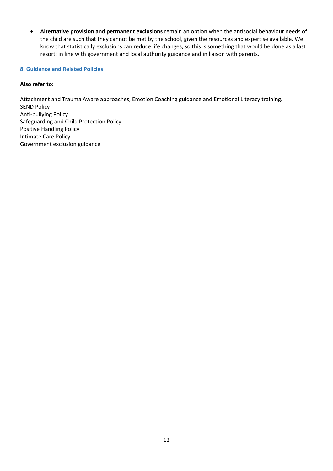• **Alternative provision and permanent exclusions** remain an option when the antisocial behaviour needs of the child are such that they cannot be met by the school, given the resources and expertise available. We know that statistically exclusions can reduce life changes, so this is something that would be done as a last resort; in line with government and local authority guidance and in liaison with parents.

#### <span id="page-11-0"></span>**8. Guidance and Related Policies**

# **Also refer to:**

Attachment and Trauma Aware approaches, Emotion Coaching guidance and Emotional Literacy training. SEND Policy Anti-bullying Policy Safeguarding and Child Protection Policy Positive Handling Policy Intimate Care Policy Government exclusion guidance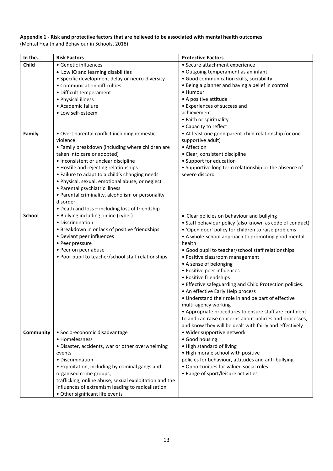# **Appendix 1 - Risk and protective factors that are believed to be associated with mental health outcomes**

(Mental Health and Behaviour in Schools, 2018)

| In the        | <b>Risk Factors</b>                                    | <b>Protective Factors</b>                                |
|---------------|--------------------------------------------------------|----------------------------------------------------------|
| Child         | · Genetic influences                                   | • Secure attachment experience                           |
|               | • Low IQ and learning disabilities                     | • Outgoing temperament as an infant                      |
|               | • Specific development delay or neuro-diversity        | • Good communication skills, sociability                 |
|               | • Communication difficulties                           | • Being a planner and having a belief in control         |
|               | • Difficult temperament                                | • Humour                                                 |
|               | • Physical illness                                     | • A positive attitude                                    |
|               | • Academic failure                                     | • Experiences of success and                             |
|               | • Low self-esteem                                      | achievement                                              |
|               |                                                        | • Faith or spirituality                                  |
|               |                                                        | • Capacity to reflect                                    |
| Family        | • Overt parental conflict including domestic           | • At least one good parent-child relationship (or one    |
|               | violence                                               | supportive adult)                                        |
|               | • Family breakdown (including where children are       | • Affection                                              |
|               | taken into care or adopted)                            | • Clear, consistent discipline                           |
|               | • Inconsistent or unclear discipline                   | • Support for education                                  |
|               | • Hostile and rejecting relationships                  | • Supportive long term relationship or the absence of    |
|               | • Failure to adapt to a child's changing needs         | severe discord                                           |
|               | · Physical, sexual, emotional abuse, or neglect        |                                                          |
|               | • Parental psychiatric illness                         |                                                          |
|               | • Parental criminality, alcoholism or personality      |                                                          |
|               | disorder                                               |                                                          |
|               | • Death and loss - including loss of friendship        |                                                          |
| <b>School</b> | · Bullying including online (cyber)                    | • Clear policies on behaviour and bullying               |
|               | • Discrimination                                       | • Staff behaviour policy (also known as code of conduct) |
|               | • Breakdown in or lack of positive friendships         | • 'Open door' policy for children to raise problems      |
|               | • Deviant peer influences                              | • A whole-school approach to promoting good mental       |
|               | • Peer pressure                                        | health                                                   |
|               | • Peer on peer abuse                                   | • Good pupil to teacher/school staff relationships       |
|               | • Poor pupil to teacher/school staff relationships     | • Positive classroom management                          |
|               |                                                        | • A sense of belonging                                   |
|               |                                                        | • Positive peer influences                               |
|               |                                                        | • Positive friendships                                   |
|               |                                                        | • Effective safeguarding and Child Protection policies.  |
|               |                                                        | • An effective Early Help process                        |
|               |                                                        | • Understand their role in and be part of effective      |
|               |                                                        | multi-agency working                                     |
|               |                                                        | • Appropriate procedures to ensure staff are confident   |
|               |                                                        | to and can raise concerns about policies and processes,  |
|               |                                                        | and know they will be dealt with fairly and effectively  |
| Community     | · Socio-economic disadvantage                          | • Wider supportive network                               |
|               | • Homelessness                                         | · Good housing                                           |
|               | · Disaster, accidents, war or other overwhelming       | • High standard of living                                |
|               | events                                                 | . High morale school with positive                       |
|               | • Discrimination                                       | policies for behaviour, attitudes and anti-bullying      |
|               | • Exploitation, including by criminal gangs and        | • Opportunities for valued social roles                  |
|               | organised crime groups,                                | • Range of sport/leisure activities                      |
|               | trafficking, online abuse, sexual exploitation and the |                                                          |
|               | influences of extremism leading to radicalisation      |                                                          |
|               | • Other significant life events                        |                                                          |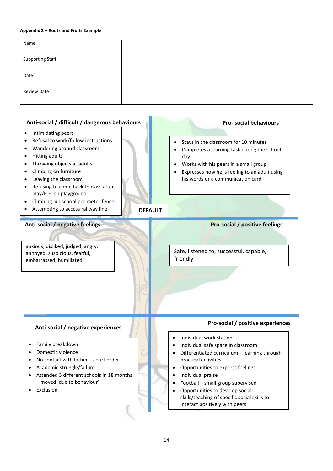#### **Appendix 2 – Roots and Fruits Example**

| Name                    |  |
|-------------------------|--|
|                         |  |
| <b>Supporting Staff</b> |  |
|                         |  |
| Date                    |  |
|                         |  |
| <b>Review Date</b>      |  |
|                         |  |

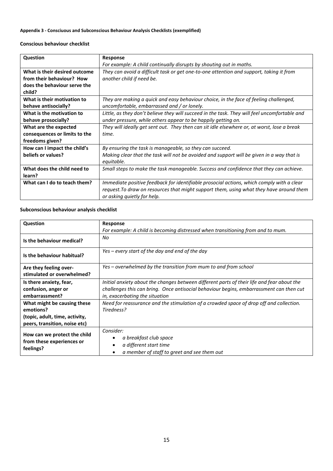# **Appendix 3 - Consciuous and Subconscious Behaviour Analysis Checklists (exemplified)**

#### **Conscious behaviour checklist**

| <b>Question</b>               | Response                                                                                      |  |  |  |
|-------------------------------|-----------------------------------------------------------------------------------------------|--|--|--|
|                               | For example: A child continually disrupts by shouting out in maths.                           |  |  |  |
| What is their desired outcome | They can avoid a difficult task or get one-to-one attention and support, taking it from       |  |  |  |
| from their behaviour? How     | another child if need be.                                                                     |  |  |  |
| does the behaviour serve the  |                                                                                               |  |  |  |
| child?                        |                                                                                               |  |  |  |
| What is their motivation to   | They are making a quick and easy behaviour choice, in the face of feeling challenged,         |  |  |  |
| behave antisocially?          | uncomfortable, embarrassed and / or lonely.                                                   |  |  |  |
| What is the motivation to     | Little, as they don't believe they will succeed in the task. They will feel uncomfortable and |  |  |  |
| behave prosocially?           | under pressure, while others appear to be happily getting on.                                 |  |  |  |
| What are the expected         | They will ideally get sent out. They then can sit idle elsewhere or, at worst, lose a break   |  |  |  |
| consequences or limits to the | time.                                                                                         |  |  |  |
| freedoms given?               |                                                                                               |  |  |  |
| How can I impact the child's  | By ensuring the task is manageable, so they can succeed.                                      |  |  |  |
| beliefs or values?            | Making clear that the task will not be avoided and support will be given in a way that is     |  |  |  |
|                               | equitable.                                                                                    |  |  |  |
| What does the child need to   | Small steps to make the task manageable. Success and confidence that they can achieve.        |  |  |  |
| learn?                        |                                                                                               |  |  |  |
| What can I do to teach them?  | Immediate positive feedback for identifiable prosocial actions, which comply with a clear     |  |  |  |
|                               | request. To draw on resources that might support them, using what they have around them       |  |  |  |
|                               | or asking quietly for help.                                                                   |  |  |  |

# **Subconscious behaviour analysis checklist**

| Question                                                               | Response                                                                                                     |  |  |  |
|------------------------------------------------------------------------|--------------------------------------------------------------------------------------------------------------|--|--|--|
|                                                                        | For example: A child is becoming distressed when transitioning from and to mum.                              |  |  |  |
| Is the behaviour medical?                                              | No                                                                                                           |  |  |  |
| Is the behaviour habitual?                                             | Yes – every start of the day and end of the day                                                              |  |  |  |
| Are they feeling over-                                                 | Yes – overwhelmed by the transition from mum to and from school                                              |  |  |  |
| stimulated or overwhelmed?                                             |                                                                                                              |  |  |  |
| Is there anxiety, fear,                                                | Initial anxiety about the changes between different parts of their life and fear about the                   |  |  |  |
| confusion, anger or                                                    | challenges this can bring. Once antisocial behaviour begins, embarrassment can then cut                      |  |  |  |
| embarrassment?                                                         | in, exacerbating the situation                                                                               |  |  |  |
| What might be causing these                                            | Need for reassurance and the stimulation of a crowded space of drop off and collection.                      |  |  |  |
| emotions?                                                              | Tiredness?                                                                                                   |  |  |  |
| (topic, adult, time, activity,                                         |                                                                                                              |  |  |  |
| peers, transition, noise etc)                                          |                                                                                                              |  |  |  |
| How can we protect the child<br>from these experiences or<br>feelings? | Consider:<br>a breakfast club space<br>a different start time<br>a member of staff to greet and see them out |  |  |  |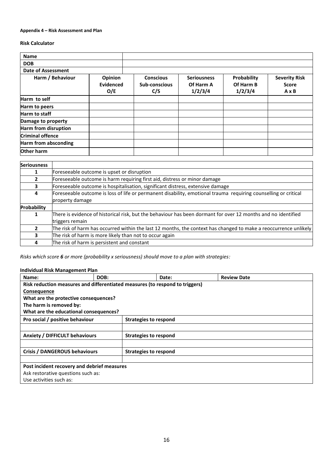#### **Appendix 4 – Risk Assessment and Plan**

#### **Risk Calculator**

| <b>Name</b>                 |                                    |                                          |                                            |                                     |                                                      |
|-----------------------------|------------------------------------|------------------------------------------|--------------------------------------------|-------------------------------------|------------------------------------------------------|
| <b>DOB</b>                  |                                    |                                          |                                            |                                     |                                                      |
| <b>Date of Assessment</b>   |                                    |                                          |                                            |                                     |                                                      |
| Harm / Behaviour            | Opinion<br><b>Evidenced</b><br>O/E | <b>Conscious</b><br>Sub-conscious<br>C/S | <b>Seriousness</b><br>Of Harm A<br>1/2/3/4 | Probability<br>Of Harm B<br>1/2/3/4 | <b>Severity Risk</b><br><b>Score</b><br>$A \times B$ |
| Harm to self                |                                    |                                          |                                            |                                     |                                                      |
| Harm to peers               |                                    |                                          |                                            |                                     |                                                      |
| Harm to staff               |                                    |                                          |                                            |                                     |                                                      |
| Damage to property          |                                    |                                          |                                            |                                     |                                                      |
| <b>Harm from disruption</b> |                                    |                                          |                                            |                                     |                                                      |
| <b>Criminal offence</b>     |                                    |                                          |                                            |                                     |                                                      |
| <b>Harm from absconding</b> |                                    |                                          |                                            |                                     |                                                      |
| Other harm                  |                                    |                                          |                                            |                                     |                                                      |

| <b>Seriousness</b> |                                                                                                                  |  |  |  |
|--------------------|------------------------------------------------------------------------------------------------------------------|--|--|--|
| 1                  | Foreseeable outcome is upset or disruption                                                                       |  |  |  |
| 2                  | Foreseeable outcome is harm requiring first aid, distress or minor damage                                        |  |  |  |
| 3                  | Foreseeable outcome is hospitalisation, significant distress, extensive damage                                   |  |  |  |
| 4                  | Foreseeable outcome is loss of life or permanent disability, emotional trauma requiring counselling or critical  |  |  |  |
|                    | property damage                                                                                                  |  |  |  |
| Probability        |                                                                                                                  |  |  |  |
| 1                  | There is evidence of historical risk, but the behaviour has been dormant for over 12 months and no identified    |  |  |  |
|                    | triggers remain                                                                                                  |  |  |  |
| 2                  | The risk of harm has occurred within the last 12 months, the context has changed to make a reoccurrence unlikely |  |  |  |
| 3.                 | The risk of harm is more likely than not to occur again                                                          |  |  |  |
| 4                  | The risk of harm is persistent and constant                                                                      |  |  |  |

*Risks which score 6 or more (probability x seriousness) should move to a plan with strategies:*

#### **Individual Risk Management Plan**

| Name:                                                                        | DOB: | Date:                        | <b>Review Date</b> |  |  |
|------------------------------------------------------------------------------|------|------------------------------|--------------------|--|--|
| Risk reduction measures and differentiated measures (to respond to triggers) |      |                              |                    |  |  |
| <b>Consequence</b>                                                           |      |                              |                    |  |  |
| What are the protective consequences?                                        |      |                              |                    |  |  |
| The harm is removed by:                                                      |      |                              |                    |  |  |
| What are the educational consequences?                                       |      |                              |                    |  |  |
| Pro social / positive behaviour                                              |      | <b>Strategies to respond</b> |                    |  |  |
|                                                                              |      |                              |                    |  |  |
| <b>Anxiety / DIFFICULT behaviours</b>                                        |      | <b>Strategies to respond</b> |                    |  |  |
|                                                                              |      |                              |                    |  |  |
| Crisis / DANGEROUS behaviours                                                |      | <b>Strategies to respond</b> |                    |  |  |
|                                                                              |      |                              |                    |  |  |
| Post incident recovery and debrief measures                                  |      |                              |                    |  |  |
| Ask restorative questions such as:                                           |      |                              |                    |  |  |
| Use activities such as:                                                      |      |                              |                    |  |  |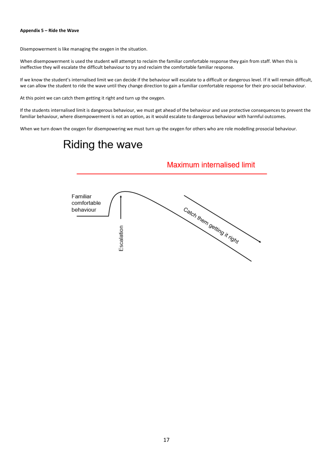#### **Appendix 5 – Ride the Wave**

Disempowerment is like managing the oxygen in the situation.

When disempowerment is used the student will attempt to reclaim the familiar comfortable response they gain from staff. When this is ineffective they will escalate the difficult behaviour to try and reclaim the comfortable familiar response.

If we know the student's internalised limit we can decide if the behaviour will escalate to a difficult or dangerous level. If it will remain difficult, we can allow the student to ride the wave until they change direction to gain a familiar comfortable response for their pro-social behaviour.

At this point we can catch them getting it right and turn up the oxygen.

If the students internalised limit is dangerous behaviour, we must get ahead of the behaviour and use protective consequences to prevent the familiar behaviour, where disempowerment is not an option, as it would escalate to dangerous behaviour with harmful outcomes.

When we turn down the oxygen for disempowering we must turn up the oxygen for others who are role modelling prosocial behaviour.

# Riding the wave

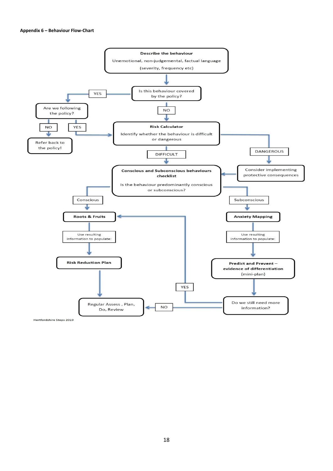

Hertfordshire Steps 2019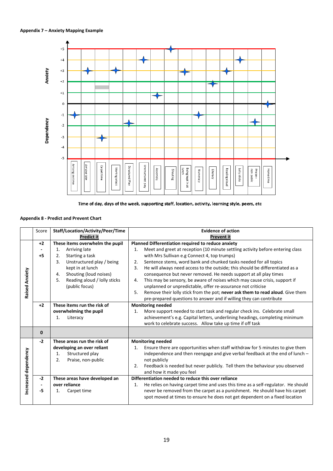



#### **Appendix 8 - Predict and Prevent Chart**

|                | Score        | Staff/Location/Activity/Peer/Time  | <b>Evidence of action</b>                                                               |
|----------------|--------------|------------------------------------|-----------------------------------------------------------------------------------------|
|                |              | <b>Predict it</b>                  | Prevent it                                                                              |
|                | $+2$         | These items overwhelm the pupil    | Planned Differentiation required to reduce anxiety                                      |
|                |              | Arriving late<br>1.                | Meet and greet at reception (10 minute settling activity before entering class<br>1.    |
|                | $+5$         | Starting a task<br>2.              | with Mrs Sullivan e.g Connect 4, top trumps)                                            |
|                |              | Unstructured play / being<br>3.    | Sentence stems, word bank and chunked tasks needed for all topics<br>2.                 |
|                |              | kept in at lunch                   | He will always need access to the outside; this should be differentiated as a<br>3.     |
|                |              | Shouting (loud noises)<br>4.       | consequence but never removed. He needs support at all play times                       |
| Raised Anxiety |              | Reading aloud / lolly sticks<br>5. | This may be sensory, be aware of noises which may cause crisis, support if<br>4.        |
|                |              | (public focus)                     | unplanned or unpredictable, offer re-assurance not criticise                            |
|                |              |                                    | 5.<br>Remove their lolly stick from the pot; never ask them to read aloud. Give them    |
|                |              |                                    | pre-prepared questions to answer and if willing they can contribute                     |
|                | $+2$         | These items run the risk of        | <b>Monitoring needed</b>                                                                |
|                |              | overwhelming the pupil             | More support needed to start task and regular check ins. Celebrate small<br>1.          |
|                |              | Literacy<br>1.                     | achievement's e.g. Capital letters, underlining headings, completing minimum            |
|                |              |                                    | work to celebrate success. Allow take up time if off task                               |
|                | $\mathbf{0}$ |                                    |                                                                                         |
|                | $-2$         | These areas run the risk of        | <b>Monitoring needed</b>                                                                |
|                |              | developing an over reliant         | Ensure there are opportunities when staff withdraw for 5 minutes to give them<br>1.     |
|                |              | Structured play<br>1.              | independence and then reengage and give verbal feedback at the end of lunch -           |
|                |              | 2.<br>Praise, non-public           | not publicly                                                                            |
|                |              |                                    | Feedback is needed but never publicly. Tell them the behaviour you observed<br>2.       |
| dependency     |              |                                    | and how it made you feel                                                                |
|                | $-2$         | These areas have developed an      | Differentiation needed to reduce this over reliance                                     |
|                |              | over reliance                      | He relies on having carpet time and uses this time as a self-regulator. He should<br>1. |
| Increased      | -5           | Carpet time<br>1.                  | never be removed from the carpet as a punishment. He should have his carpet             |
|                |              |                                    | spot moved at times to ensure he does not get dependent on a fixed location             |
|                |              |                                    |                                                                                         |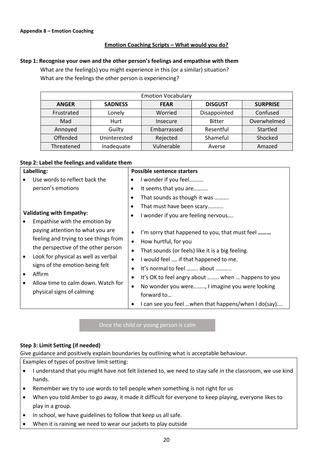# **Emotion Coaching Scripts – What would you do?**

# **Step 1: Recognise your own and the other person's feelings and empathise with them**

What are the feeling(s) you might experience in this (or a similar) situation? What are the feelings the other person is experiencing?

| <b>Emotion Vocabulary</b> |                |             |                |                 |  |
|---------------------------|----------------|-------------|----------------|-----------------|--|
| <b>ANGER</b>              | <b>SADNESS</b> |             | <b>DISGUST</b> | <b>SURPRISE</b> |  |
| Frustrated                | Lonely         | Worried     | Disappointed   | Confused        |  |
| Mad                       | Hurt           | Insecure    | <b>Bitter</b>  | Overwhelmed     |  |
| Annoyed                   | Guilty         | Embarrassed | Resentful      | Startled        |  |
| Offended                  | Uninterested   | Rejected    | Shameful       | Shocked         |  |
| Threatened                | Inadequate     | Vulnerable  | Averse         | Amazed          |  |

### **Step 2: Label the feelings and validate them**

| Labelling: |                                                                                                                                                                                                         |           | <b>Possible sentence starters</b>                    |
|------------|---------------------------------------------------------------------------------------------------------------------------------------------------------------------------------------------------------|-----------|------------------------------------------------------|
|            | Use words to reflect back the                                                                                                                                                                           |           | I wonder if you feel                                 |
|            | person's emotions                                                                                                                                                                                       |           | It seems that you are                                |
|            |                                                                                                                                                                                                         |           | That sounds as though it was                         |
|            |                                                                                                                                                                                                         |           | That must have been scary                            |
|            | <b>Validating with Empathy:</b>                                                                                                                                                                         |           | I wonder if you are feeling nervous                  |
|            | Empathise with the emotion by                                                                                                                                                                           |           |                                                      |
|            | paying attention to what you are                                                                                                                                                                        |           | I'm sorry that happened to you, that must feel       |
|            | feeling and trying to see things from                                                                                                                                                                   | ٠         | How hurtful, for you                                 |
|            | the perspective of the other person<br>Look for physical as well as verbal<br>$\bullet$<br>signs of the emotion being felt<br>Affirm<br>Allow time to calm down. Watch for<br>physical signs of calming | $\bullet$ | That sounds (or feels) like it is a big feeling.     |
|            |                                                                                                                                                                                                         |           | I would feel  if that happened to me.                |
|            |                                                                                                                                                                                                         |           | It's normal to feel  about                           |
|            |                                                                                                                                                                                                         |           | It's OK to feel angry about  when  happens to you    |
|            |                                                                                                                                                                                                         | ٠         | No wonder you were, I imagine you were looking       |
|            |                                                                                                                                                                                                         |           | forward to                                           |
|            |                                                                                                                                                                                                         |           | I can see you feel  when that happens/when I do(say) |

Once the child or young person is calm

# **Step 3: Limit Setting (if needed)**

Give guidance and positively explain boundaries by outlining what is acceptable behaviour.

- Examples of types of positive limit setting:
- I understand that you might have not felt listened to, we need to stay safe in the classroom, we use kind hands.
- Remember we try to use words to tell people when something is not right for us
- When you told Amber to go away, it made it difficult for everyone to keep playing, everyone likes to play in a group.
- In school, we have guidelines to follow that keep us all safe.
- When it is raining we need to wear our jackets to play outside